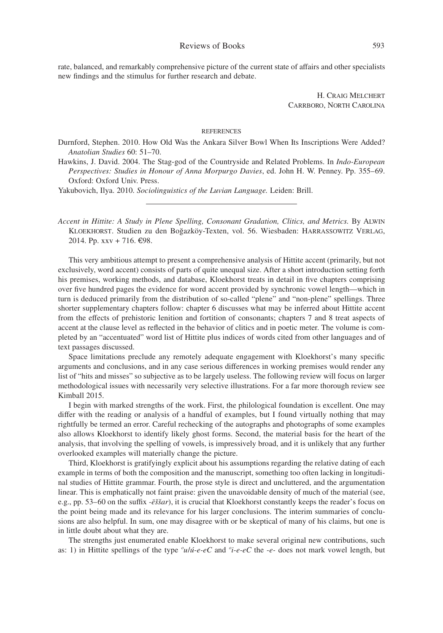rate, balanced, and remarkably comprehensive picture of the current state of affairs and other specialists new findings and the stimulus for further research and debate.

> H. Craig Melchert Carrboro, North Carolina

## references

Durnford, Stephen. 2010. How Old Was the Ankara Silver Bowl When Its Inscriptions Were Added? *Anatolian Studies* 60: 51–70.

Hawkins, J. David. 2004. The Stag-god of the Countryside and Related Problems. In *Indo-European Perspectives: Studies in Honour of Anna Morpurgo Davies*, ed. John H. W. Penney. Pp. 355–69. Oxford: Oxford Univ. Press.

Yakubovich, Ilya. 2010. *Sociolinguistics of the Luvian Language.* Leiden: Brill.

*Accent in Hittite: A Study in Plene Spelling, Consonant Gradation, Clitics, and Metrics.* By Alwin Kloekhorst. Studien zu den Boğazköy-Texten, vol. 56. Wiesbaden: Harrassowitz Verlag, 2014. Pp. xxv + 716. €98.

This very ambitious attempt to present a comprehensive analysis of Hittite accent (primarily, but not exclusively, word accent) consists of parts of quite unequal size. After a short introduction setting forth his premises, working methods, and database, Kloekhorst treats in detail in five chapters comprising over five hundred pages the evidence for word accent provided by synchronic vowel length—which in turn is deduced primarily from the distribution of so-called "plene" and "non-plene" spellings. Three shorter supplementary chapters follow: chapter 6 discusses what may be inferred about Hittite accent from the effects of prehistoric lenition and fortition of consonants; chapters 7 and 8 treat aspects of accent at the clause level as reflected in the behavior of clitics and in poetic meter. The volume is completed by an "accentuated" word list of Hittite plus indices of words cited from other languages and of text passages discussed.

Space limitations preclude any remotely adequate engagement with Kloekhorst's many specific arguments and conclusions, and in any case serious differences in working premises would render any list of "hits and misses" so subjective as to be largely useless. The following review will focus on larger methodological issues with necessarily very selective illustrations. For a far more thorough review see Kimball 2015.

I begin with marked strengths of the work. First, the philological foundation is excellent. One may differ with the reading or analysis of a handful of examples, but I found virtually nothing that may rightfully be termed an error. Careful rechecking of the autographs and photographs of some examples also allows Kloekhorst to identify likely ghost forms. Second, the material basis for the heart of the analysis, that involving the spelling of vowels, is impressively broad, and it is unlikely that any further overlooked examples will materially change the picture.

Third, Kloekhorst is gratifyingly explicit about his assumptions regarding the relative dating of each example in terms of both the composition and the manuscript, something too often lacking in longitudinal studies of Hittite grammar. Fourth, the prose style is direct and uncluttered, and the argumentation linear. This is emphatically not faint praise: given the unavoidable density of much of the material (see, e.g., pp. 53–60 on the suffix *-ēššar*), it is crucial that Kloekhorst constantly keeps the reader's focus on the point being made and its relevance for his larger conclusions. The interim summaries of conclusions are also helpful. In sum, one may disagree with or be skeptical of many of his claims, but one is in little doubt about what they are.

The strengths just enumerated enable Kloekhorst to make several original new contributions, such as: 1) in Hittite spellings of the type *ºu/ú-e-eC* and *ºi-e-eC* the *-e-* does not mark vowel length, but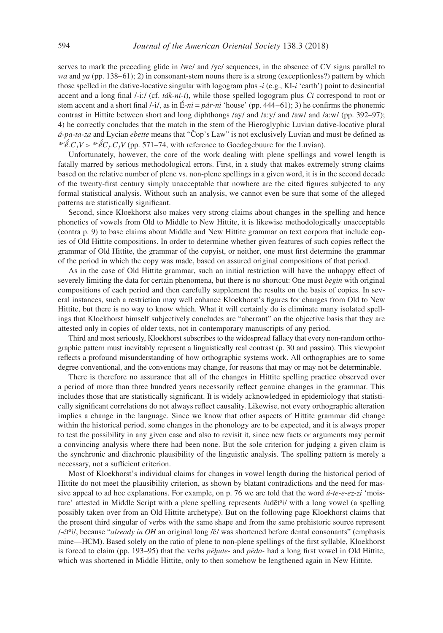serves to mark the preceding glide in /we/ and /ye/ sequences, in the absence of CV signs parallel to *wa* and *ya* (pp. 138–61); 2) in consonant-stem nouns there is a strong (exceptionless?) pattern by which those spelled in the dative-locative singular with logogram plus *-i* (e.g., KI-*i* 'earth') point to desinential accent and a long final /-i:/ (cf. *ták-ni-i*), while those spelled logogram plus *Ci* correspond to root or stem accent and a short final  $/$ -i $/$ , as in  $\hat{E}$ -*ni* = *pár*-*ni* 'house' (pp. 444–61); 3) he confirms the phonemic contrast in Hittite between short and long diphthongs /ay/ and /a:y/ and /aw/ and /a:w/ (pp. 392–97); 4) he correctly concludes that the match in the stem of the Hieroglyphic Luvian dative-locative plural *á-pa-ta-za* and Lycian *ebette* means that "Čop's Law" is not exclusively Luvian and must be defined as  $e^{i\phi}$ *é.*  $C_I V > e^{i\phi}$ <sup>*e*</sup> $C_I$ *C<sub>I</sub>V* (pp. 571–74, with reference to Goedegebuure for the Luvian).

Unfortunately, however, the core of the work dealing with plene spellings and vowel length is fatally marred by serious methodological errors. First, in a study that makes extremely strong claims based on the relative number of plene vs. non-plene spellings in a given word, it is in the second decade of the twenty-first century simply unacceptable that nowhere are the cited figures subjected to any formal statistical analysis. Without such an analysis, we cannot even be sure that some of the alleged patterns are statistically significant.

Second, since Kloekhorst also makes very strong claims about changes in the spelling and hence phonetics of vowels from Old to Middle to New Hittite, it is likewise methodologically unacceptable (contra p. 9) to base claims about Middle and New Hittite grammar on text corpora that include copies of Old Hittite compositions. In order to determine whether given features of such copies reflect the grammar of Old Hittite, the grammar of the copyist, or neither, one must first determine the grammar of the period in which the copy was made, based on assured original compositions of that period.

As in the case of Old Hittite grammar, such an initial restriction will have the unhappy effect of severely limiting the data for certain phenomena, but there is no shortcut: One must *begin* with original compositions of each period and then carefully supplement the results on the basis of copies. In several instances, such a restriction may well enhance Kloekhorst's figures for changes from Old to New Hittite, but there is no way to know which. What it will certainly do is eliminate many isolated spellings that Kloekhorst himself subjectively concludes are "aberrant" on the objective basis that they are attested only in copies of older texts, not in contemporary manuscripts of any period.

Third and most seriously, Kloekhorst subscribes to the widespread fallacy that every non-random orthographic pattern must inevitably represent a linguistically real contrast (p. 30 and passim). This viewpoint reflects a profound misunderstanding of how orthographic systems work. All orthographies are to some degree conventional, and the conventions may change, for reasons that may or may not be determinable.

There is therefore no assurance that all of the changes in Hittite spelling practice observed over a period of more than three hundred years necessarily reflect genuine changes in the grammar. This includes those that are statistically significant. It is widely acknowledged in epidemiology that statistically significant correlations do not always reflect causality. Likewise, not every orthographic alteration implies a change in the language. Since we know that other aspects of Hittite grammar did change within the historical period, some changes in the phonology are to be expected, and it is always proper to test the possibility in any given case and also to revisit it, since new facts or arguments may permit a convincing analysis where there had been none. But the sole criterion for judging a given claim is the synchronic and diachronic plausibility of the linguistic analysis. The spelling pattern is merely a necessary, not a sufficient criterion.

Most of Kloekhorst's individual claims for changes in vowel length during the historical period of Hittite do not meet the plausibility criterion, as shown by blatant contradictions and the need for massive appeal to ad hoc explanations. For example, on p. 76 we are told that the word *ú-te-e-ez-zi* 'moisture' attested in Middle Script with a plene spelling represents /udēt<sup>s</sup>i/ with a long vowel (a spelling possibly taken over from an Old Hittite archetype). But on the following page Kloekhorst claims that the present third singular of verbs with the same shape and from the same prehistoric source represent /-ét<sup>s</sup>i/, because "*already in OH* an original long /ē/ was shortened before dental consonants" (emphasis mine—HCM). Based solely on the ratio of plene to non-plene spellings of the first syllable, Kloekhorst is forced to claim (pp. 193–95) that the verbs *pēḫute-* and *pēda-* had a long first vowel in Old Hittite, which was shortened in Middle Hittite, only to then somehow be lengthened again in New Hittite.